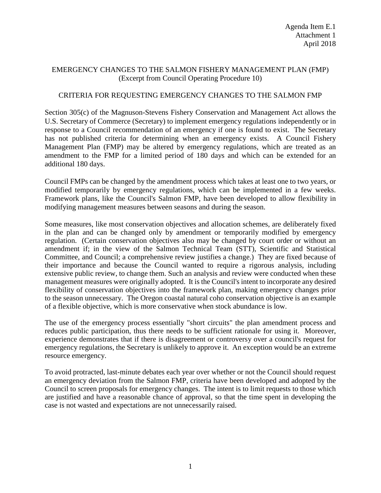## EMERGENCY CHANGES TO THE SALMON FISHERY MANAGEMENT PLAN (FMP) (Excerpt from Council Operating Procedure 10)

## CRITERIA FOR REQUESTING EMERGENCY CHANGES TO THE SALMON FMP

Section 305(c) of the Magnuson-Stevens Fishery Conservation and Management Act allows the U.S. Secretary of Commerce (Secretary) to implement emergency regulations independently or in response to a Council recommendation of an emergency if one is found to exist. The Secretary has not published criteria for determining when an emergency exists. A Council Fishery Management Plan (FMP) may be altered by emergency regulations, which are treated as an amendment to the FMP for a limited period of 180 days and which can be extended for an additional 180 days.

Council FMPs can be changed by the amendment process which takes at least one to two years, or modified temporarily by emergency regulations, which can be implemented in a few weeks. Framework plans, like the Council's Salmon FMP, have been developed to allow flexibility in modifying management measures between seasons and during the season.

Some measures, like most conservation objectives and allocation schemes, are deliberately fixed in the plan and can be changed only by amendment or temporarily modified by emergency regulation. (Certain conservation objectives also may be changed by court order or without an amendment if; in the view of the Salmon Technical Team (STT), Scientific and Statistical Committee, and Council; a comprehensive review justifies a change.) They are fixed because of their importance and because the Council wanted to require a rigorous analysis, including extensive public review, to change them. Such an analysis and review were conducted when these management measures were originally adopted. It is the Council's intent to incorporate any desired flexibility of conservation objectives into the framework plan, making emergency changes prior to the season unnecessary. The Oregon coastal natural coho conservation objective is an example of a flexible objective, which is more conservative when stock abundance is low.

The use of the emergency process essentially "short circuits" the plan amendment process and reduces public participation, thus there needs to be sufficient rationale for using it. Moreover, experience demonstrates that if there is disagreement or controversy over a council's request for emergency regulations, the Secretary is unlikely to approve it. An exception would be an extreme resource emergency.

To avoid protracted, last-minute debates each year over whether or not the Council should request an emergency deviation from the Salmon FMP, criteria have been developed and adopted by the Council to screen proposals for emergency changes. The intent is to limit requests to those which are justified and have a reasonable chance of approval, so that the time spent in developing the case is not wasted and expectations are not unnecessarily raised.